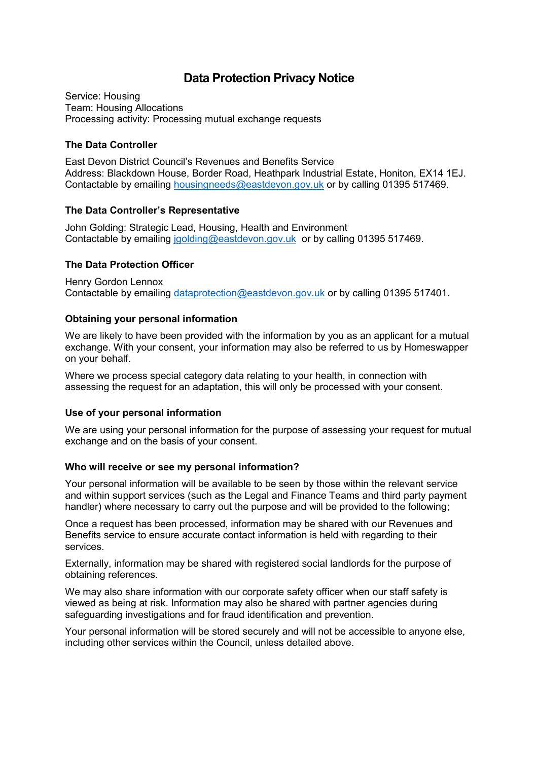# **Data Protection Privacy Notice**

Service: Housing Team: Housing Allocations Processing activity: Processing mutual exchange requests

### **The Data Controller**

East Devon District Council's Revenues and Benefits Service Address: Blackdown House, Border Road, Heathpark Industrial Estate, Honiton, EX14 1EJ. Contactable by emailing [housingneeds@eastdevon.gov.uk](mailto:housingneeds@eastdevon.gov.uk) or by calling 01395 517469.

## **The Data Controller's Representative**

John Golding: Strategic Lead, Housing, Health and Environment Contactable by emailing [jgolding@eastdevon.gov.uk](mailto:jgolding@eastdevon.gov.uk) or by calling 01395 517469.

## **The Data Protection Officer**

Henry Gordon Lennox Contactable by emailing [dataprotection@eastdevon.gov.uk](mailto:dataprotection@eastdevon.gov.uk) or by calling 01395 517401.

## **Obtaining your personal information**

We are likely to have been provided with the information by you as an applicant for a mutual exchange. With your consent, your information may also be referred to us by Homeswapper on your behalf.

Where we process special category data relating to your health, in connection with assessing the request for an adaptation, this will only be processed with your consent.

#### **Use of your personal information**

We are using your personal information for the purpose of assessing your request for mutual exchange and on the basis of your consent.

#### **Who will receive or see my personal information?**

Your personal information will be available to be seen by those within the relevant service and within support services (such as the Legal and Finance Teams and third party payment handler) where necessary to carry out the purpose and will be provided to the following;

Once a request has been processed, information may be shared with our Revenues and Benefits service to ensure accurate contact information is held with regarding to their services.

Externally, information may be shared with registered social landlords for the purpose of obtaining references.

We may also share information with our corporate safety officer when our staff safety is viewed as being at risk. Information may also be shared with partner agencies during safeguarding investigations and for fraud identification and prevention.

Your personal information will be stored securely and will not be accessible to anyone else, including other services within the Council, unless detailed above.